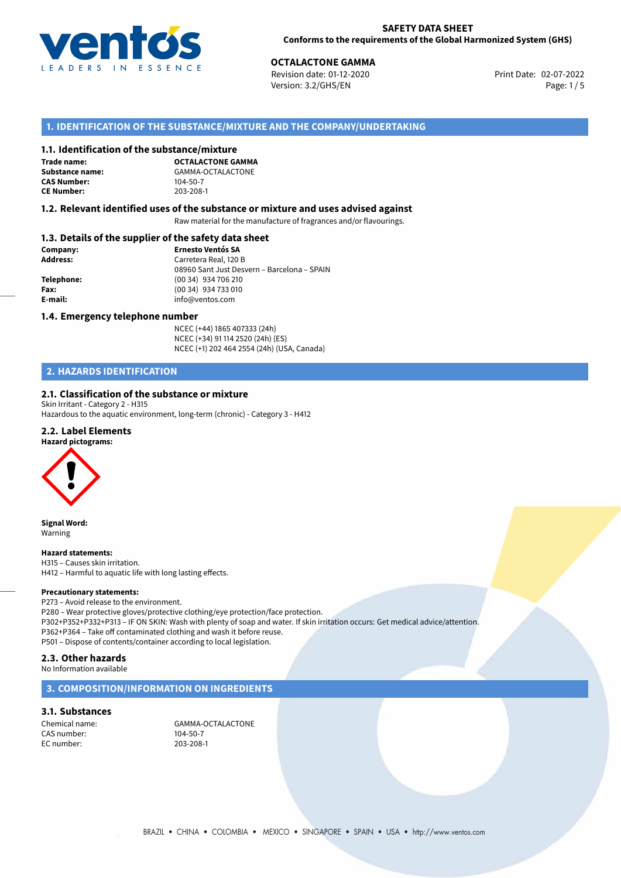

**OCTALACTONE GAMMA**<br> **Revision date: 01-12-2020** Print Date: 02-07-2022 Version: 3.2/GHS/EN Page: 1/5

# **1. IDENTIFICATION OF THE SUBSTANCE/MIXTURE AND THE COMPANY/UNDERTAKING**

## **1.1. Identification of the substance/mixture**

**Trade name: CAS Number: CE Number:** 203-208-1

**OCTALACTONE GAMMA Substance name:** GAMMA-OCTALACTONE<br> **CAS Number:** 104-50-7

## **1.2. Relevant identified uses of the substance or mixture and uses advised against**

Raw material for the manufacture of fragrances and/or flavourings.

# **1.3. Details of the supplier of the safety data sheet**

| Company:   | <b>Ernesto Ventós SA</b>                    |  |
|------------|---------------------------------------------|--|
| Address:   | Carretera Real, 120 B                       |  |
|            | 08960 Sant Just Desvern - Barcelona - SPAIN |  |
| Telephone: | (00 34) 934 706 210                         |  |
| Fax:       | (00 34) 934 733 010                         |  |
| E-mail:    | info@ventos.com                             |  |
|            |                                             |  |

## **1.4. Emergency telephone number**

NCEC (+44) 1865 407333 (24h) NCEC (+34) 91 114 2520 (24h) (ES) NCEC (+1) 202 464 2554 (24h) (USA, Canada)

# **2. HAZARDS IDENTIFICATION**

## **2.1. Classification of the substance or mixture**

Skin Irritant - Category 2 - H315 Hazardous to the aquatic environment, long-term (chronic) - Category 3 - H412

## **2.2. Label Elements**

### **Hazard pictograms:**



**Signal Word:** Warning

## **Hazard statements:**

H315 – Causes skin irritation. H412 – Harmful to aquatic life with long lasting effects.

### **Precautionary statements:**

P273 – Avoid release to the environment. P280 – Wear protective gloves/protective clothing/eye protection/face protection. P302+P352+P332+P313 – IF ON SKIN: Wash with plenty of soap and water. If skin irritation occurs: Get medical advice/attention. P362+P364 – Take off contaminated clothing and wash it before reuse. P501 – Dispose of contents/container according to local legislation.

# **2.3. Other hazards**

No Information available

# **3. COMPOSITION/INFORMATION ON INGREDIENTS**

# **3.1. Substances**

CAS number: EC number: 203-208-1

Chemical name: GAMMA-OCTALACTONE<br>CAS number: 104-50-7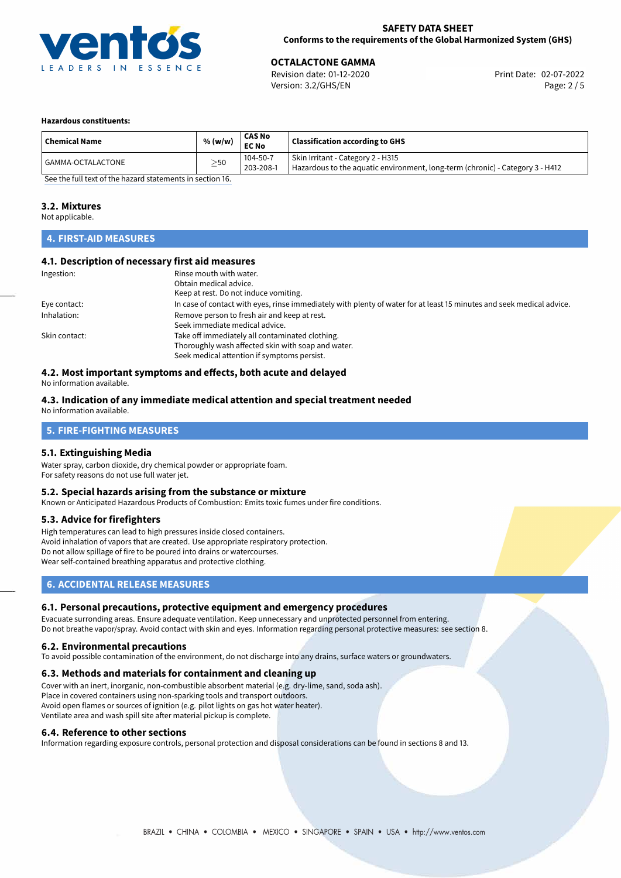

**OCTALACTONE GAMMA**<br>
Revision date: 01-12-2020 **Print Date: 02-07-2022** Version: 3.2/GHS/EN Page: 2 / 5

## **Hazardous constituents:**

| <b>Chemical Name</b>                                                            | % (w/w)   | <b>CAS No</b><br><b>EC No</b> | <b>Classification according to GHS</b>                                                                             |  |
|---------------------------------------------------------------------------------|-----------|-------------------------------|--------------------------------------------------------------------------------------------------------------------|--|
| l GAMMA-OCTALACTONE                                                             | $\geq$ 50 | 104-50-7<br>203-208-1         | Skin Irritant - Category 2 - H315<br>Hazardous to the aquatic environment, long-term (chronic) - Category 3 - H412 |  |
| $\sigma$ and the full term of the leadership terms are the contract of $\sigma$ |           |                               |                                                                                                                    |  |

[See the full text of the hazard statements in section 16.](#page-4-0)

# **3.2. Mixtures**

Not applicable.

# **4. FIRST-AID MEASURES**

## **4.1. Description of necessary first aid measures**

| Ingestion:    | Rinse mouth with water.<br>Obtain medical advice.<br>Keep at rest. Do not induce vomiting.                            |
|---------------|-----------------------------------------------------------------------------------------------------------------------|
|               |                                                                                                                       |
| Eye contact:  | In case of contact with eyes, rinse immediately with plenty of water for at least 15 minutes and seek medical advice. |
| Inhalation:   | Remove person to fresh air and keep at rest.                                                                          |
|               | Seek immediate medical advice.                                                                                        |
| Skin contact: | Take off immediately all contaminated clothing.                                                                       |
|               | Thoroughly wash affected skin with soap and water.                                                                    |
|               | Seek medical attention if symptoms persist.                                                                           |

# **4.2. Most important symptoms and effects, both acute and delayed**

No information available.

## **4.3. Indication of any immediate medical attention and special treatment needed** No information available.

# **5. FIRE-FIGHTING MEASURES**

# **5.1. Extinguishing Media**

Water spray, carbon dioxide, dry chemical powder or appropriate foam. For safety reasons do not use full water jet.

## **5.2. Special hazards arising from the substance or mixture**

Known or Anticipated Hazardous Products of Combustion: Emits toxic fumes under fire conditions.

# **5.3. Advice for firefighters**

High temperatures can lead to high pressures inside closed containers. Avoid inhalation of vapors that are created. Use appropriate respiratory protection. Do not allow spillage of fire to be poured into drains or watercourses. Wear self-contained breathing apparatus and protective clothing.

# **6. ACCIDENTAL RELEASE MEASURES**

## **6.1. Personal precautions, protective equipment and emergency procedures**

Evacuate surronding areas. Ensure adequate ventilation. Keep unnecessary and unprotected personnel from entering. Do not breathe vapor/spray. Avoid contact with skin and eyes. Information regarding personal protective measures: see section 8.

## **6.2. Environmental precautions**

To avoid possible contamination of the environment, do not discharge into any drains, surface waters or groundwaters.

## **6.3. Methods and materials for containment and cleaning up**

Cover with an inert, inorganic, non-combustible absorbent material (e.g. dry-lime, sand, soda ash). Place in covered containers using non-sparking tools and transport outdoors. Avoid open flames or sources of ignition (e.g. pilot lights on gas hot water heater). Ventilate area and wash spill site after material pickup is complete.

## **6.4. Reference to other sections**

Information regarding exposure controls, personal protection and disposal considerations can be found in sections 8 and 13.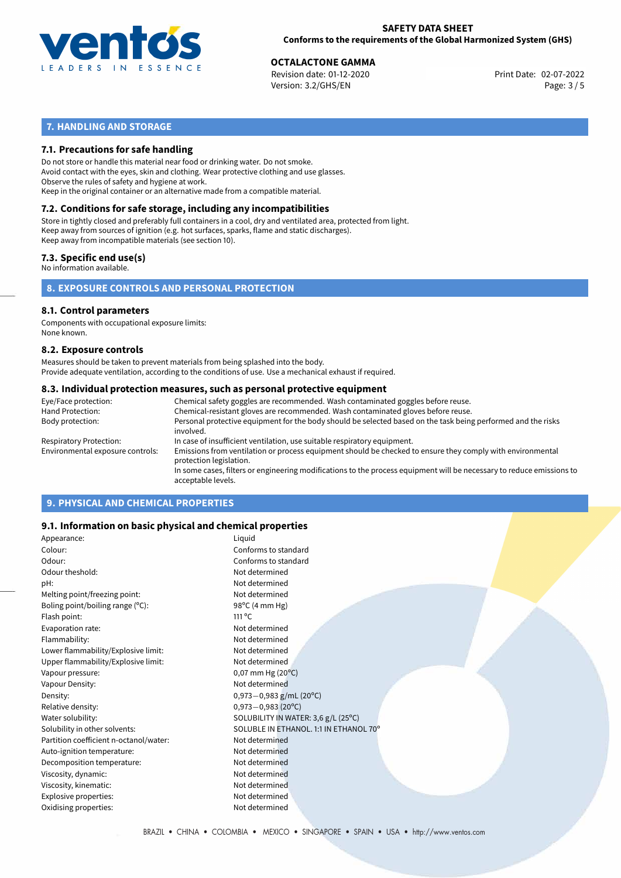

**OCTALACTONE GAMMA**<br>
Revision date: 01-12-2020 **Print Date: 02-07-2022** Version: 3.2/GHS/EN Page: 3 / 5

# **7. HANDLING AND STORAGE**

# **7.1. Precautions for safe handling**

Do not store or handle this material near food or drinking water. Do not smoke. Avoid contact with the eyes, skin and clothing. Wear protective clothing and use glasses. Observe the rules of safety and hygiene at work. Keep in the original container or an alternative made from a compatible material.

# **7.2. Conditions for safe storage, including any incompatibilities**

Store in tightly closed and preferably full containers in a cool, dry and ventilated area, protected from light. Keep away from sources of ignition (e.g. hot surfaces, sparks, flame and static discharges). Keep away from incompatible materials (see section 10).

# **7.3. Specific end use(s)**

No information available.

# **8. EXPOSURE CONTROLS AND PERSONAL PROTECTION**

# **8.1. Control parameters**

Components with occupational exposure limits: None known.

## **8.2. Exposure controls**

Measures should be taken to prevent materials from being splashed into the body. Provide adequate ventilation, according to the conditions of use. Use a mechanical exhaust if required.

## **8.3. Individual protection measures, such as personal protective equipment**

| Eye/Face protection:             | Chemical safety goggles are recommended. Wash contaminated goggles before reuse.                                                            |
|----------------------------------|---------------------------------------------------------------------------------------------------------------------------------------------|
| Hand Protection:                 | Chemical-resistant gloves are recommended. Wash contaminated gloves before reuse.                                                           |
| Body protection:                 | Personal protective equipment for the body should be selected based on the task being performed and the risks<br>involved.                  |
| Respiratory Protection:          | In case of insufficient ventilation, use suitable respiratory equipment.                                                                    |
| Environmental exposure controls: | Emissions from ventilation or process equipment should be checked to ensure they comply with environmental<br>protection legislation.       |
|                                  | In some cases, filters or engineering modifications to the process equipment will be necessary to reduce emissions to<br>acceptable levels. |
|                                  |                                                                                                                                             |

# **9. PHYSICAL AND CHEMICAL PROPERTIES**

# **9.1. Information on basic physical and chemical properties**

| Appearance:                            | Liquid                                 |
|----------------------------------------|----------------------------------------|
| Colour:                                | Conforms to standard                   |
| Odour:                                 | Conforms to standard                   |
| Odour theshold:                        | Not determined                         |
| pH:                                    | Not determined                         |
| Melting point/freezing point:          | Not determined                         |
| Boling point/boiling range (°C):       | 98°C (4 mm Hg)                         |
| Flash point:                           | $111^{\circ}$ C                        |
| Evaporation rate:                      | Not determined                         |
| Flammability:                          | Not determined                         |
| Lower flammability/Explosive limit:    | Not determined                         |
| Upper flammability/Explosive limit:    | Not determined                         |
| Vapour pressure:                       | $0,07$ mm Hg (20 $^{\circ}$ C)         |
| Vapour Density:                        | Not determined                         |
| Density:                               | 0,973 $-0$ ,983 g/mL (20°C)            |
| Relative density:                      | $0,973 - 0,983(20^{\circ}C)$           |
| Water solubility:                      | SOLUBILITY IN WATER: 3,6 g/L (25°C)    |
| Solubility in other solvents:          | SOLUBLE IN ETHANOL. 1:1 IN ETHANOL 70° |
| Partition coefficient n-octanol/water: | Not determined                         |
| Auto-ignition temperature:             | Not determined                         |
| Decomposition temperature:             | Not determined                         |
| Viscosity, dynamic:                    | Not determined                         |
| Viscosity, kinematic:                  | Not determined                         |
| Explosive properties:                  | Not determined                         |
| Oxidising properties:                  | Not determined                         |
|                                        |                                        |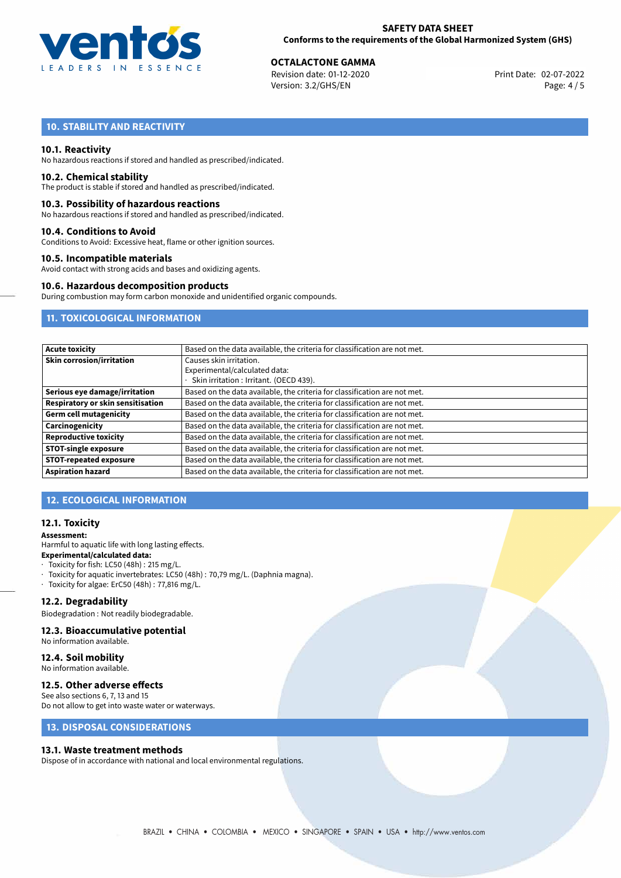

**OCTALACTONE GAMMA**<br>
Revision date: 01-12-2020 **Print Date: 02-07-2022** Version: 3.2/GHS/EN Page: 4 / 5

# **10. STABILITY AND REACTIVITY**

## **10.1. Reactivity**

No hazardous reactions if stored and handled as prescribed/indicated.

# **10.2. Chemical stability**

The product is stable if stored and handled as prescribed/indicated.

## **10.3. Possibility of hazardous reactions**

No hazardous reactions if stored and handled as prescribed/indicated.

## **10.4. Conditions to Avoid**

Conditions to Avoid: Excessive heat, flame or other ignition sources.

## **10.5. Incompatible materials**

Avoid contact with strong acids and bases and oxidizing agents.

## **10.6. Hazardous decomposition products**

During combustion may form carbon monoxide and unidentified organic compounds.

# **11. TOXICOLOGICAL INFORMATION**

| Acute toxicity                    | Based on the data available, the criteria for classification are not met. |  |
|-----------------------------------|---------------------------------------------------------------------------|--|
| Skin corrosion/irritation         | Causes skin irritation.<br>Experimental/calculated data:                  |  |
|                                   | Skin irritation: Irritant. (OECD 439).                                    |  |
| Serious eye damage/irritation     | Based on the data available, the criteria for classification are not met. |  |
| Respiratory or skin sensitisation | Based on the data available, the criteria for classification are not met. |  |
| Germ cell mutagenicity            | Based on the data available, the criteria for classification are not met. |  |
| Carcinogenicity                   | Based on the data available, the criteria for classification are not met. |  |
| Reproductive toxicity             | Based on the data available, the criteria for classification are not met. |  |
| STOT-single exposure              | Based on the data available, the criteria for classification are not met. |  |
| <b>STOT-repeated exposure</b>     | Based on the data available, the criteria for classification are not met. |  |
| <b>Aspiration hazard</b>          | Based on the data available, the criteria for classification are not met. |  |

# **12. ECOLOGICAL INFORMATION**

# **12.1. Toxicity**

## **Assessment:**

Harmful to aquatic life with long lasting effects. **Experimental/calculated data:**

## $\cdot$  Toxicity for fish: LC50 (48h) : 215 mg/L.

- · Toxicity for aquatic invertebrates: LC50 (48h) : 70,79 mg/L. (Daphnia magna).
- · Toxicity for algae: ErC50 (48h) : 77,816 mg/L.

## **12.2. Degradability**

Biodegradation : Not readily biodegradable.

# **12.3. Bioaccumulative potential**

No information available.

# **12.4. Soil mobility**

No information available.

# **12.5. Other adverse effects**

See also sections 6, 7, 13 and 15 Do not allow to get into waste water or waterways.

# **13. DISPOSAL CONSIDERATIONS**

## **13.1. Waste treatment methods**

Dispose of in accordance with national and local environmental regulations.